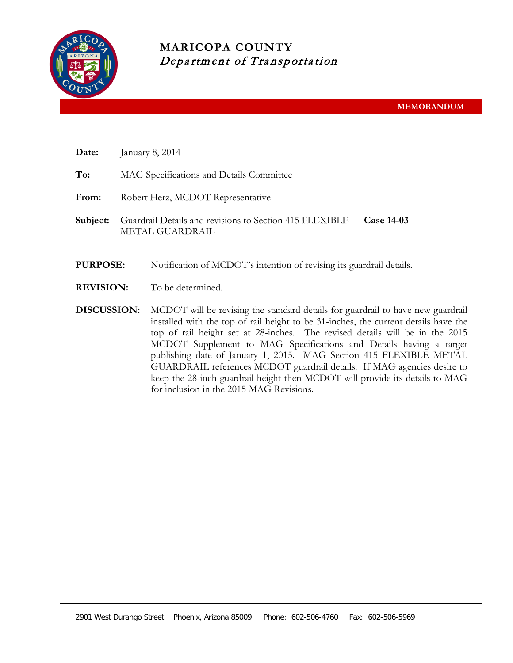

# **MARICOPA COUNTY** Department of Transportation

- **Date:** January 8, 2014
- **To:** MAG Specifications and Details Committee
- **From:** Robert Herz, MCDOT Representative
- **Subject:** Guardrail Details and revisions to Section 415 FLEXIBLE METAL GUARDRAIL **Case 14-03**
- **PURPOSE:** Notification of MCDOT's intention of revising its guardrail details.
- **REVISION:** To be determined.
- **DISCUSSION:** MCDOT will be revising the standard details for guardrail to have new guardrail installed with the top of rail height to be 31-inches, the current details have the top of rail height set at 28-inches. The revised details will be in the 2015 MCDOT Supplement to MAG Specifications and Details having a target publishing date of January 1, 2015. MAG Section 415 FLEXIBLE METAL GUARDRAIL references MCDOT guardrail details. If MAG agencies desire to keep the 28-inch guardrail height then MCDOT will provide its details to MAG for inclusion in the 2015 MAG Revisions.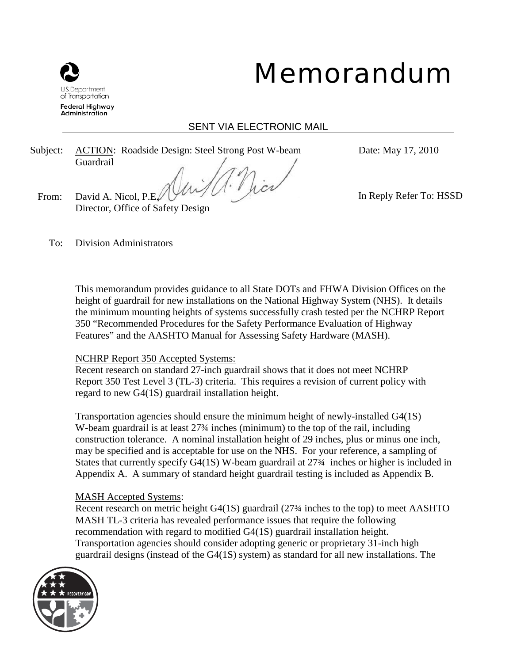

# Memorandum

# SENT VIA ELECTRONIC MAIL

Subject: ACTION: Roadside Design: Steel Strong Post W-beam Guardrail

Date: May 17, 2010

From: David A. Nicol, P.E. Director, Office of Safety Design In Reply Refer To: HSSD

To: Division Administrators

This memorandum provides guidance to all State DOTs and FHWA Division Offices on the height of guardrail for new installations on the National Highway System (NHS). It details the minimum mounting heights of systems successfully crash tested per the NCHRP Report 350 "Recommended Procedures for the Safety Performance Evaluation of Highway Features" and the AASHTO Manual for Assessing Safety Hardware (MASH).

# NCHRP Report 350 Accepted Systems:

Recent research on standard 27-inch guardrail shows that it does not meet NCHRP Report 350 Test Level 3 (TL-3) criteria. This requires a revision of current policy with regard to new G4(1S) guardrail installation height.

Transportation agencies should ensure the minimum height of newly-installed G4(1S) W-beam guardrail is at least 27<sup>3</sup>/4 inches (minimum) to the top of the rail, including construction tolerance. A nominal installation height of 29 inches, plus or minus one inch, may be specified and is acceptable for use on the NHS. For your reference, a sampling of States that currently specify G4(1S) W-beam guardrail at 27¾ inches or higher is included in Appendix A. A summary of standard height guardrail testing is included as Appendix B.

# MASH Accepted Systems:

Recent research on metric height G4(1S) guardrail (27¾ inches to the top) to meet AASHTO MASH TL-3 criteria has revealed performance issues that require the following recommendation with regard to modified G4(1S) guardrail installation height. Transportation agencies should consider adopting generic or proprietary 31-inch high guardrail designs (instead of the G4(1S) system) as standard for all new installations. The

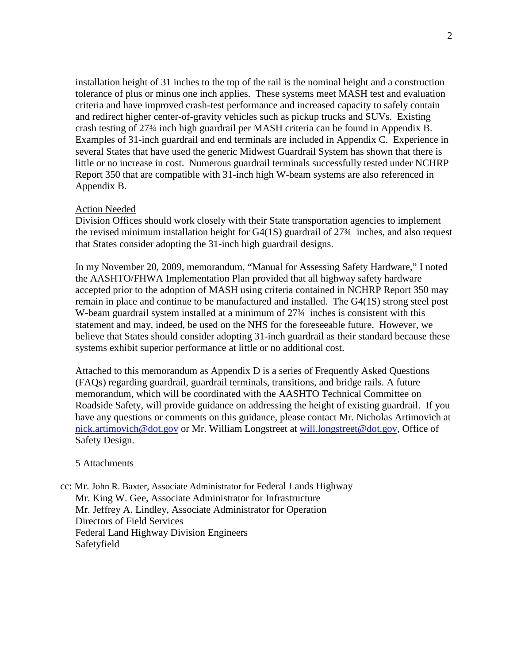installation height of 31 inches to the top of the rail is the nominal height and a construction tolerance of plus or minus one inch applies. These systems meet MASH test and evaluation criteria and have improved crash-test performance and increased capacity to safely contain and redirect higher center-of-gravity vehicles such as pickup trucks and SUVs. Existing crash testing of 27¾ inch high guardrail per MASH criteria can be found in Appendix B. Examples of 31-inch guardrail and end terminals are included in Appendix C. Experience in several States that have used the generic Midwest Guardrail System has shown that there is little or no increase in cost. Numerous guardrail terminals successfully tested under NCHRP Report 350 that are compatible with 31-inch high W-beam systems are also referenced in Appendix B.

#### Action Needed

Division Offices should work closely with their State transportation agencies to implement the revised minimum installation height for G4(1S) guardrail of 27¾ inches, and also request that States consider adopting the 31-inch high guardrail designs.

In my November 20, 2009, memorandum, "Manual for Assessing Safety Hardware," I noted the AASHTO/FHWA Implementation Plan provided that all highway safety hardware accepted prior to the adoption of MASH using criteria contained in NCHRP Report 350 may remain in place and continue to be manufactured and installed. The G4(1S) strong steel post W-beam guardrail system installed at a minimum of 27<sup>3</sup>/4 inches is consistent with this statement and may, indeed, be used on the NHS for the foreseeable future. However, we believe that States should consider adopting 31-inch guardrail as their standard because these systems exhibit superior performance at little or no additional cost.

Attached to this memorandum as Appendix D is a series of Frequently Asked Questions (FAQs) regarding guardrail, guardrail terminals, transitions, and bridge rails. A future memorandum, which will be coordinated with the AASHTO Technical Committee on Roadside Safety, will provide guidance on addressing the height of existing guardrail. If you have any questions or comments on this guidance, please contact Mr. Nicholas Artimovich at [nick.artimovich@dot.gov](mailto:nick.artimovich@dot.gov) or Mr. William Longstreet at [will.longstreet@dot.gov,](mailto:will.longstreet@dot.gov) Office of Safety Design.

#### 5 Attachments

cc: Mr. John R. Baxter, Associate Administrator for Federal Lands Highway Mr. King W. Gee, Associate Administrator for Infrastructure Mr. Jeffrey A. Lindley, Associate Administrator for Operation Directors of Field Services Federal Land Highway Division Engineers Safetyfield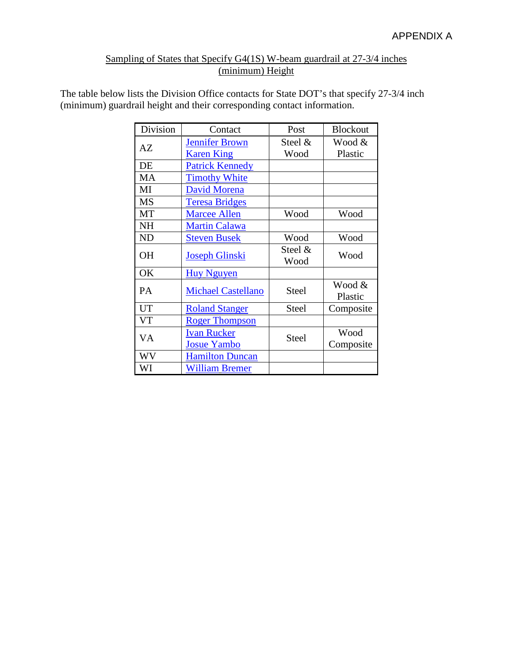# Sampling of States that Specify G4(1S) W-beam guardrail at 27-3/4 inches (minimum) Height

The table below lists the Division Office contacts for State DOT's that specify 27-3/4 inch (minimum) guardrail height and their corresponding contact information.

| Division  | Contact                   | Post         | <b>Blockout</b> |
|-----------|---------------------------|--------------|-----------------|
| AZ        | <b>Jennifer Brown</b>     | Steel $\&$   | Wood &          |
|           | <b>Karen King</b>         | Wood         | Plastic         |
| DE        | <b>Patrick Kennedy</b>    |              |                 |
| MA        | <b>Timothy White</b>      |              |                 |
| MI        | <b>David Morena</b>       |              |                 |
| <b>MS</b> | <b>Teresa Bridges</b>     |              |                 |
| MT        | <b>Marcee Allen</b>       | Wood         | Wood            |
| <b>NH</b> | <b>Martin Calawa</b>      |              |                 |
| ND        | <b>Steven Busek</b>       | Wood         | Wood            |
| OH        | <b>Joseph Glinski</b>     | Steel &      | Wood            |
|           |                           | Wood         |                 |
| OK        | <b>Huy Nguyen</b>         |              |                 |
| PA        | <b>Michael Castellano</b> | <b>Steel</b> | Wood &          |
|           |                           |              | Plastic         |
| <b>UT</b> | <b>Roland Stanger</b>     | <b>Steel</b> | Composite       |
| VT        | <b>Roger Thompson</b>     |              |                 |
| VA        | <b>Ivan Rucker</b>        | <b>Steel</b> | Wood            |
|           | <b>Josue Yambo</b>        |              | Composite       |
| WV        | <b>Hamilton Duncan</b>    |              |                 |
| WI        | <b>William Bremer</b>     |              |                 |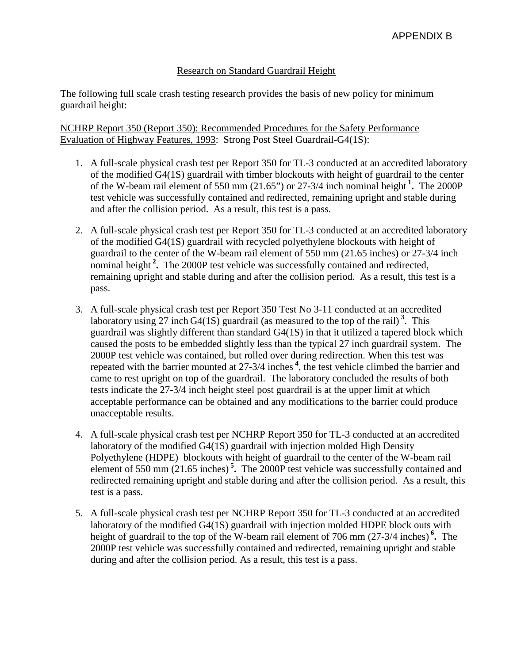## Research on Standard Guardrail Height

The following full scale crash testing research provides the basis of new policy for minimum guardrail height:

NCHRP Report 350 (Report 350): Recommended Procedures for the Safety Performance Evaluation of Highway Features, 1993: Strong Post Steel Guardrail-G4(1S):

- 1. A full-scale physical crash test per Report 350 for TL-3 conducted at an accredited laboratory of the modified G4(1S) guardrail with timber blockouts with height of guardrail to the center of the W-beam rail element of 550 mm (21.65") or 27-3/4 inch nominal height **<sup>1</sup> .** The 2000P test vehicle was successfully contained and redirected, remaining upright and stable during and after the collision period. As a result, this test is a pass.
- 2. A full-scale physical crash test per Report 350 for TL-3 conducted at an accredited laboratory of the modified G4(1S) guardrail with recycled polyethylene blockouts with height of guardrail to the center of the W-beam rail element of 550 mm (21.65 inches) or 27-3/4 inch nominal height<sup>2</sup>. The 2000P test vehicle was successfully contained and redirected, remaining upright and stable during and after the collision period. As a result, this test is a pass.
- 3. A full-scale physical crash test per Report 350 Test No 3-11 conducted at an accredited laboratory using 27 inch  $G4(1S)$  guardrail (as measured to the top of the rail)<sup>3</sup>. This guardrail was slightly different than standard G4(1S) in that it utilized a tapered block which caused the posts to be embedded slightly less than the typical 27 inch guardrail system. The 2000P test vehicle was contained, but rolled over during redirection. When this test was repeated with the barrier mounted at 27-3/4 inches **<sup>4</sup>** , the test vehicle climbed the barrier and came to rest upright on top of the guardrail. The laboratory concluded the results of both tests indicate the 27-3/4 inch height steel post guardrail is at the upper limit at which acceptable performance can be obtained and any modifications to the barrier could produce unacceptable results.
- 4. A full-scale physical crash test per NCHRP Report 350 for TL-3 conducted at an accredited laboratory of the modified G4(1S) guardrail with injection molded High Density Polyethylene (HDPE) blockouts with height of guardrail to the center of the W-beam rail element of 550 mm (21.65 inches) **<sup>5</sup> .** The 2000P test vehicle was successfully contained and redirected remaining upright and stable during and after the collision period. As a result, this test is a pass.
- 5. A full-scale physical crash test per NCHRP Report 350 for TL-3 conducted at an accredited laboratory of the modified G4(1S) guardrail with injection molded HDPE block outs with height of guardrail to the top of the W-beam rail element of 706 mm (27-3/4 inches) **<sup>6</sup> .** The 2000P test vehicle was successfully contained and redirected, remaining upright and stable during and after the collision period. As a result, this test is a pass.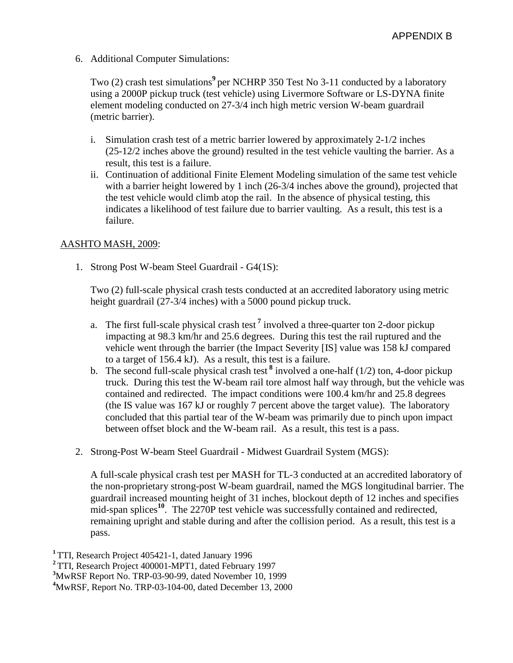6. Additional Computer Simulations:

Two (2) crash test simulations<sup>9</sup> per NCHRP 350 Test No 3-11 conducted by a laboratory using a 2000P pickup truck (test vehicle) using Livermore Software or LS-DYNA finite element modeling conducted on 27-3/4 inch high metric version W-beam guardrail (metric barrier).

- i. Simulation crash test of a metric barrier lowered by approximately 2-1/2 inches (25-12/2 inches above the ground) resulted in the test vehicle vaulting the barrier. As a result, this test is a failure.
- ii. Continuation of additional Finite Element Modeling simulation of the same test vehicle with a barrier height lowered by 1 inch (26-3/4 inches above the ground), projected that the test vehicle would climb atop the rail. In the absence of physical testing, this indicates a likelihood of test failure due to barrier vaulting. As a result, this test is a failure.

#### AASHTO MASH, 2009:

1. Strong Post W-beam Steel Guardrail - G4(1S):

Two (2) full-scale physical crash tests conducted at an accredited laboratory using metric height guardrail (27-3/4 inches) with a 5000 pound pickup truck.

- a. The first full-scale physical crash test **<sup>7</sup>** involved a three-quarter ton 2-door pickup impacting at 98.3 km/hr and 25.6 degrees. During this test the rail ruptured and the vehicle went through the barrier (the Impact Severity [IS] value was 158 kJ compared to a target of 156.4 kJ). As a result, this test is a failure.
- b. The second full-scale physical crash test  $\delta$  involved a one-half (1/2) ton, 4-door pickup truck. During this test the W-beam rail tore almost half way through, but the vehicle was contained and redirected. The impact conditions were 100.4 km/hr and 25.8 degrees (the IS value was 167 kJ or roughly 7 percent above the target value). The laboratory concluded that this partial tear of the W-beam was primarily due to pinch upon impact between offset block and the W-beam rail. As a result, this test is a pass.
- 2. Strong-Post W-beam Steel Guardrail Midwest Guardrail System (MGS):

A full-scale physical crash test per MASH for TL-3 conducted at an accredited laboratory of the non-proprietary strong-post W-beam guardrail, named the MGS longitudinal barrier. The guardrail increased mounting height of 31 inches, blockout depth of 12 inches and specifies mid-span splices<sup>10</sup>. The 2270P test vehicle was successfully contained and redirected, remaining upright and stable during and after the collision period. As a result, this test is a pass.

 TTI, Research Project 405421-1, dated January 1996 TTI, Research Project 400001-MPT1, dated February 1997 MwRSF Report No. TRP-03-90-99, dated November 10, 1999 MwRSF, Report No. TRP-03-104-00, dated December 13, 2000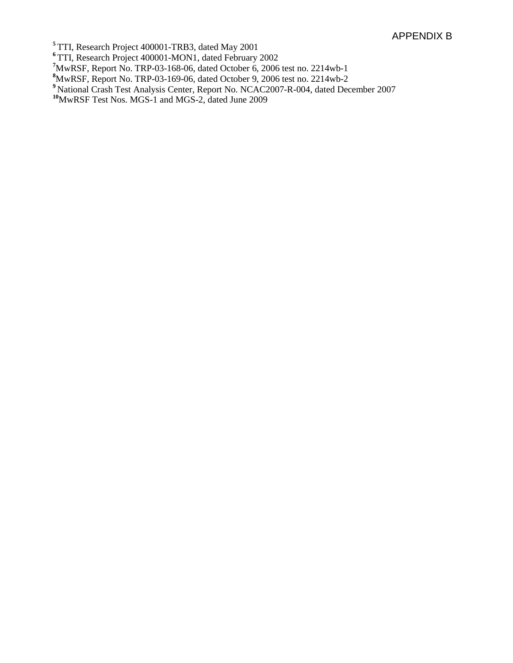TTI, Research Project 400001-TRB3, dated May 2001

TTI, Research Project 400001-MON1, dated February 2002

MwRSF, Report No. TRP-03-168-06, dated October 6, 2006 test no. 2214wb-1 **8** MwRSF, Report No. TRP-03-169-06, dated October 9, 2006 test no. 2214wb-2

- National Crash Test Analysis Center, Report No. NCAC2007-R-004, dated December 2007
- MwRSF Test Nos. MGS-1 and MGS-2, dated June 2009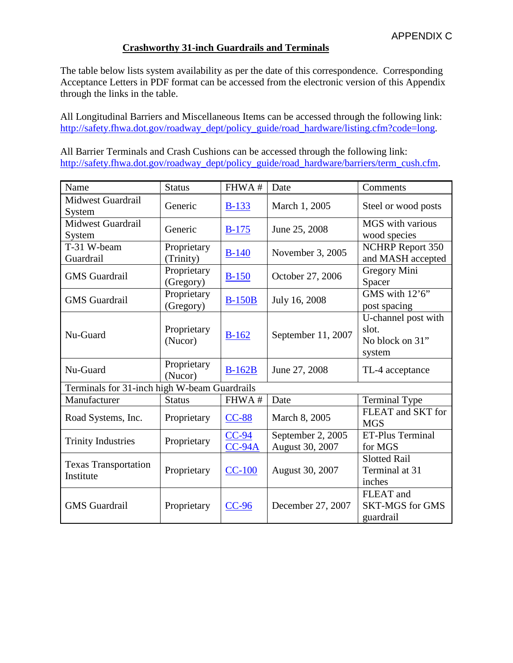#### **Crashworthy 31-inch Guardrails and Terminals**

The table below lists system availability as per the date of this correspondence. Corresponding Acceptance Letters in PDF format can be accessed from the electronic version of this Appendix through the links in the table.

All Longitudinal Barriers and Miscellaneous Items can be accessed through the following link: [http://safety.fhwa.dot.gov/roadway\\_dept/policy\\_guide/road\\_hardware/listing.cfm?code=long.](http://safety.fhwa.dot.gov/roadway_dept/policy_guide/road_hardware/listing.cfm?code=long)

All Barrier Terminals and Crash Cushions can be accessed through the following link: [http://safety.fhwa.dot.gov/roadway\\_dept/policy\\_guide/road\\_hardware/barriers/term\\_cush.cfm.](http://safety.fhwa.dot.gov/roadway_dept/policy_guide/road_hardware/barriers/term_cush.cfm)

| Name                                         | <b>Status</b>            | FHWA#               | Date                                 | Comments                                                  |  |
|----------------------------------------------|--------------------------|---------------------|--------------------------------------|-----------------------------------------------------------|--|
| <b>Midwest Guardrail</b><br>System           | Generic                  | $B-133$             | March 1, 2005                        | Steel or wood posts                                       |  |
| Midwest Guardrail<br>System                  | Generic                  | $B-175$             | June 25, 2008                        | MGS with various<br>wood species                          |  |
| T-31 W-beam<br>Guardrail                     | Proprietary<br>(Trinity) | $B-140$             | November 3, 2005                     | <b>NCHRP</b> Report 350<br>and MASH accepted              |  |
| <b>GMS</b> Guardrail                         | Proprietary<br>(Gregory) | $B-150$             | October 27, 2006                     | Gregory Mini<br>Spacer                                    |  |
| <b>GMS</b> Guardrail                         | Proprietary<br>(Gregory) | <b>B-150B</b>       | July 16, 2008                        | GMS with 12'6"<br>post spacing                            |  |
| Nu-Guard                                     | Proprietary<br>(Nucor)   | $B-162$             | September 11, 2007                   | U-channel post with<br>slot.<br>No block on 31"<br>system |  |
| Nu-Guard                                     | Proprietary<br>(Nucor)   | $B-162B$            | June 27, 2008                        | TL-4 acceptance                                           |  |
| Terminals for 31-inch high W-beam Guardrails |                          |                     |                                      |                                                           |  |
| Manufacturer                                 | <b>Status</b>            | FHWA#               | Date                                 | Terminal Type                                             |  |
| Road Systems, Inc.                           | Proprietary              | $CC-88$             | March 8, 2005                        | FLEAT and SKT for<br><b>MGS</b>                           |  |
| <b>Trinity Industries</b>                    | Proprietary              | $CC-94$<br>$CC-94A$ | September 2, 2005<br>August 30, 2007 | ET-Plus Terminal<br>for MGS                               |  |
| <b>Texas Transportation</b><br>Institute     | Proprietary              | $CC-100$            | August 30, 2007                      | <b>Slotted Rail</b><br>Terminal at 31<br>inches           |  |
| <b>GMS</b> Guardrail                         | Proprietary              | $CC-96$             | December 27, 2007                    | FLEAT and<br><b>SKT-MGS</b> for GMS<br>guardrail          |  |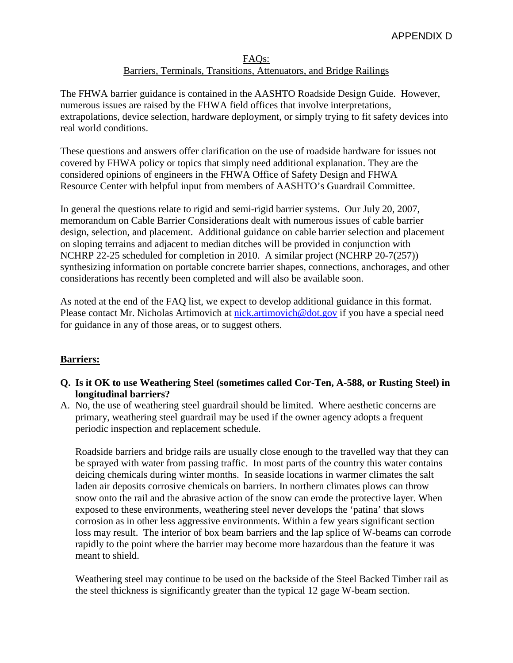#### FAQs: Barriers, Terminals, Transitions, Attenuators, and Bridge Railings

The FHWA barrier guidance is contained in the AASHTO Roadside Design Guide. However, numerous issues are raised by the FHWA field offices that involve interpretations, extrapolations, device selection, hardware deployment, or simply trying to fit safety devices into real world conditions.

These questions and answers offer clarification on the use of roadside hardware for issues not covered by FHWA policy or topics that simply need additional explanation. They are the considered opinions of engineers in the FHWA Office of Safety Design and FHWA Resource Center with helpful input from members of AASHTO's Guardrail Committee.

In general the questions relate to rigid and semi-rigid barrier systems. Our July 20, 2007, memorandum on Cable Barrier Considerations dealt with numerous issues of cable barrier design, selection, and placement. Additional guidance on cable barrier selection and placement on sloping terrains and adjacent to median ditches will be provided in conjunction with NCHRP 22-25 scheduled for completion in 2010. A similar project (NCHRP 20-7(257)) synthesizing information on portable concrete barrier shapes, connections, anchorages, and other considerations has recently been completed and will also be available soon.

As noted at the end of the FAQ list, we expect to develop additional guidance in this format. Please contact Mr. Nicholas Artimovich at [nick.artimovich@dot.gov](mailto:nick.artimovich@dot.gov) if you have a special need for guidance in any of those areas, or to suggest others.

# **Barriers:**

# **Q. Is it OK to use Weathering Steel (sometimes called Cor-Ten, A-588, or Rusting Steel) in longitudinal barriers?**

A. No, the use of weathering steel guardrail should be limited. Where aesthetic concerns are primary, weathering steel guardrail may be used if the owner agency adopts a frequent periodic inspection and replacement schedule.

Roadside barriers and bridge rails are usually close enough to the travelled way that they can be sprayed with water from passing traffic. In most parts of the country this water contains deicing chemicals during winter months. In seaside locations in warmer climates the salt laden air deposits corrosive chemicals on barriers. In northern climates plows can throw snow onto the rail and the abrasive action of the snow can erode the protective layer. When exposed to these environments, weathering steel never develops the 'patina' that slows corrosion as in other less aggressive environments. Within a few years significant section loss may result. The interior of box beam barriers and the lap splice of W-beams can corrode rapidly to the point where the barrier may become more hazardous than the feature it was meant to shield.

Weathering steel may continue to be used on the backside of the Steel Backed Timber rail as the steel thickness is significantly greater than the typical 12 gage W-beam section.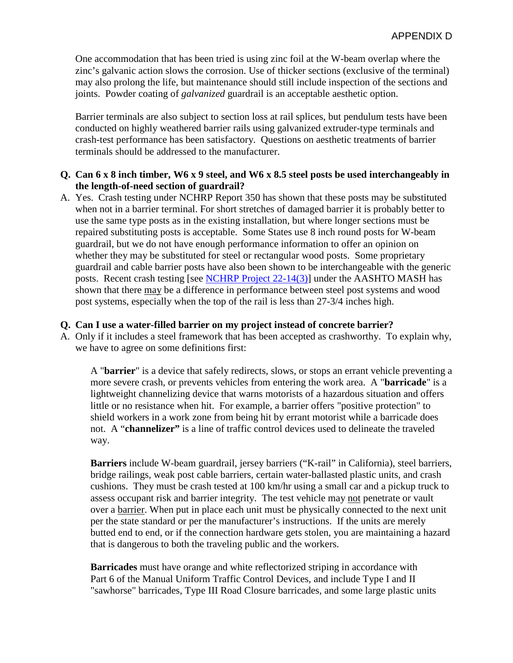One accommodation that has been tried is using zinc foil at the W-beam overlap where the zinc's galvanic action slows the corrosion. Use of thicker sections (exclusive of the terminal) may also prolong the life, but maintenance should still include inspection of the sections and joints. Powder coating of *galvanized* guardrail is an acceptable aesthetic option.

Barrier terminals are also subject to section loss at rail splices, but pendulum tests have been conducted on highly weathered barrier rails using galvanized extruder-type terminals and crash-test performance has been satisfactory. Questions on aesthetic treatments of barrier terminals should be addressed to the manufacturer.

#### **Q. Can 6 x 8 inch timber, W6 x 9 steel, and W6 x 8.5 steel posts be used interchangeably in the length-of-need section of guardrail?**

A. Yes. Crash testing under NCHRP Report 350 has shown that these posts may be substituted when not in a barrier terminal. For short stretches of damaged barrier it is probably better to use the same type posts as in the existing installation, but where longer sections must be repaired substituting posts is acceptable. Some States use 8 inch round posts for W-beam guardrail, but we do not have enough performance information to offer an opinion on whether they may be substituted for steel or rectangular wood posts. Some proprietary guardrail and cable barrier posts have also been shown to be interchangeable with the generic posts. Recent crash testing [see [NCHRP Project 22-14\(3\)\]](http://144.171.11.40/cmsfeed/TRBNetProjectDisplay.asp?ProjectID=686) under the AASHTO MASH has shown that there may be a difference in performance between steel post systems and wood post systems, especially when the top of the rail is less than 27-3/4 inches high.

#### **Q. Can I use a water-filled barrier on my project instead of concrete barrier?**

A. Only if it includes a steel framework that has been accepted as crashworthy. To explain why, we have to agree on some definitions first:

A "**barrier**" is a device that safely redirects, slows, or stops an errant vehicle preventing a more severe crash, or prevents vehicles from entering the work area. A "**barricade**" is a lightweight channelizing device that warns motorists of a hazardous situation and offers little or no resistance when hit. For example, a barrier offers "positive protection" to shield workers in a work zone from being hit by errant motorist while a barricade does not. A "**channelizer"** is a line of traffic control devices used to delineate the traveled way.

**Barriers** include W-beam guardrail, jersey barriers ("K-rail" in California), steel barriers, bridge railings, weak post cable barriers, certain water-ballasted plastic units, and crash cushions. They must be crash tested at 100 km/hr using a small car and a pickup truck to assess occupant risk and barrier integrity. The test vehicle may not penetrate or vault over a barrier. When put in place each unit must be physically connected to the next unit per the state standard or per the manufacturer's instructions. If the units are merely butted end to end, or if the connection hardware gets stolen, you are maintaining a hazard that is dangerous to both the traveling public and the workers.

**Barricades** must have orange and white reflectorized striping in accordance with Part 6 of the Manual Uniform Traffic Control Devices, and include Type I and II "sawhorse" barricades, Type III Road Closure barricades, and some large plastic units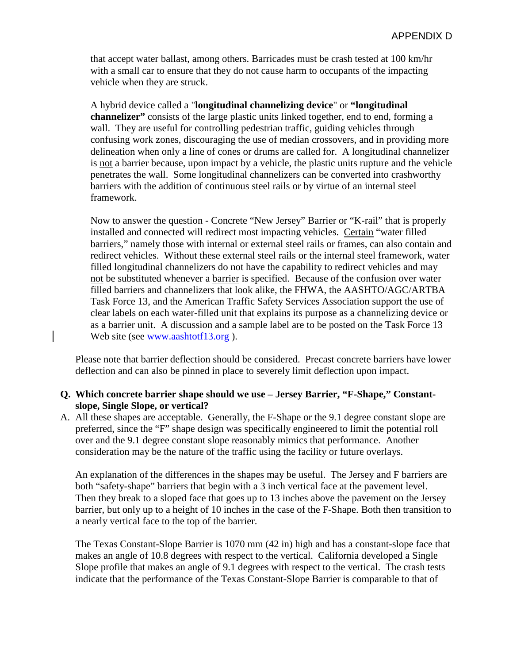that accept water ballast, among others. Barricades must be crash tested at 100 km/hr with a small car to ensure that they do not cause harm to occupants of the impacting vehicle when they are struck.

A hybrid device called a "**longitudinal channelizing device**" or **"longitudinal channelizer"** consists of the large plastic units linked together, end to end, forming a wall. They are useful for controlling pedestrian traffic, guiding vehicles through confusing work zones, discouraging the use of median crossovers, and in providing more delineation when only a line of cones or drums are called for. A longitudinal channelizer is not a barrier because, upon impact by a vehicle, the plastic units rupture and the vehicle penetrates the wall. Some longitudinal channelizers can be converted into crashworthy barriers with the addition of continuous steel rails or by virtue of an internal steel framework.

Now to answer the question - Concrete "New Jersey" Barrier or "K-rail" that is properly installed and connected will redirect most impacting vehicles. Certain "water filled barriers," namely those with internal or external steel rails or frames, can also contain and redirect vehicles. Without these external steel rails or the internal steel framework, water filled longitudinal channelizers do not have the capability to redirect vehicles and may not be substituted whenever a barrier is specified. Because of the confusion over water filled barriers and channelizers that look alike, the FHWA, the AASHTO/AGC/ARTBA Task Force 13, and the American Traffic Safety Services Association support the use of clear labels on each water-filled unit that explains its purpose as a channelizing device or as a barrier unit. A discussion and a sample label are to be posted on the Task Force 13 Web site (see [www.aashtotf13.org](http://www.aashtotf13.org/)).

Please note that barrier deflection should be considered. Precast concrete barriers have lower deflection and can also be pinned in place to severely limit deflection upon impact.

# **Q. Which concrete barrier shape should we use – Jersey Barrier, "F-Shape," Constantslope, Single Slope, or vertical?**

A. All these shapes are acceptable. Generally, the F-Shape or the 9.1 degree constant slope are preferred, since the "F" shape design was specifically engineered to limit the potential roll over and the 9.1 degree constant slope reasonably mimics that performance. Another consideration may be the nature of the traffic using the facility or future overlays.

An explanation of the differences in the shapes may be useful. The Jersey and F barriers are both "safety-shape" barriers that begin with a 3 inch vertical face at the pavement level. Then they break to a sloped face that goes up to 13 inches above the pavement on the Jersey barrier, but only up to a height of 10 inches in the case of the F-Shape. Both then transition to a nearly vertical face to the top of the barrier.

The Texas Constant-Slope Barrier is 1070 mm (42 in) high and has a constant-slope face that makes an angle of 10.8 degrees with respect to the vertical. California developed a Single Slope profile that makes an angle of 9.1 degrees with respect to the vertical. The crash tests indicate that the performance of the Texas Constant-Slope Barrier is comparable to that of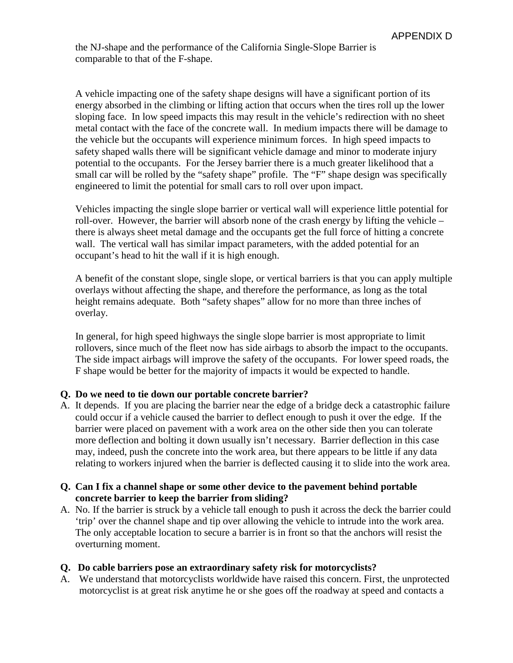the NJ-shape and the performance of the California Single-Slope Barrier is comparable to that of the F-shape.

A vehicle impacting one of the safety shape designs will have a significant portion of its energy absorbed in the climbing or lifting action that occurs when the tires roll up the lower sloping face. In low speed impacts this may result in the vehicle's redirection with no sheet metal contact with the face of the concrete wall. In medium impacts there will be damage to the vehicle but the occupants will experience minimum forces. In high speed impacts to safety shaped walls there will be significant vehicle damage and minor to moderate injury potential to the occupants. For the Jersey barrier there is a much greater likelihood that a small car will be rolled by the "safety shape" profile. The "F" shape design was specifically engineered to limit the potential for small cars to roll over upon impact.

Vehicles impacting the single slope barrier or vertical wall will experience little potential for roll-over. However, the barrier will absorb none of the crash energy by lifting the vehicle – there is always sheet metal damage and the occupants get the full force of hitting a concrete wall. The vertical wall has similar impact parameters, with the added potential for an occupant's head to hit the wall if it is high enough.

A benefit of the constant slope, single slope, or vertical barriers is that you can apply multiple overlays without affecting the shape, and therefore the performance, as long as the total height remains adequate. Both "safety shapes" allow for no more than three inches of overlay.

In general, for high speed highways the single slope barrier is most appropriate to limit rollovers, since much of the fleet now has side airbags to absorb the impact to the occupants. The side impact airbags will improve the safety of the occupants. For lower speed roads, the F shape would be better for the majority of impacts it would be expected to handle.

# **Q. Do we need to tie down our portable concrete barrier?**

A. It depends. If you are placing the barrier near the edge of a bridge deck a catastrophic failure could occur if a vehicle caused the barrier to deflect enough to push it over the edge. If the barrier were placed on pavement with a work area on the other side then you can tolerate more deflection and bolting it down usually isn't necessary. Barrier deflection in this case may, indeed, push the concrete into the work area, but there appears to be little if any data relating to workers injured when the barrier is deflected causing it to slide into the work area.

#### **Q. Can I fix a channel shape or some other device to the pavement behind portable concrete barrier to keep the barrier from sliding?**

A. No. If the barrier is struck by a vehicle tall enough to push it across the deck the barrier could 'trip' over the channel shape and tip over allowing the vehicle to intrude into the work area. The only acceptable location to secure a barrier is in front so that the anchors will resist the overturning moment.

#### **Q. Do cable barriers pose an extraordinary safety risk for motorcyclists?**

A. We understand that motorcyclists worldwide have raised this concern. First, the unprotected motorcyclist is at great risk anytime he or she goes off the roadway at speed and contacts a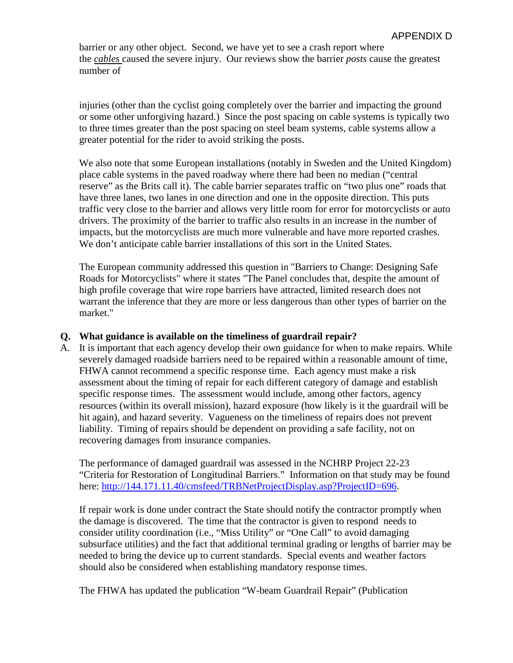barrier or any other object. Second, we have yet to see a crash report where the *cables* caused the severe injury. Our reviews show the barrier *posts* cause the greatest number of

injuries (other than the cyclist going completely over the barrier and impacting the ground or some other unforgiving hazard.) Since the post spacing on cable systems is typically two to three times greater than the post spacing on steel beam systems, cable systems allow a greater potential for the rider to avoid striking the posts.

We also note that some European installations (notably in Sweden and the United Kingdom) place cable systems in the paved roadway where there had been no median ("central reserve" as the Brits call it). The cable barrier separates traffic on "two plus one" roads that have three lanes, two lanes in one direction and one in the opposite direction. This puts traffic very close to the barrier and allows very little room for error for motorcyclists or auto drivers. The proximity of the barrier to traffic also results in an increase in the number of impacts, but the motorcyclists are much more vulnerable and have more reported crashes. We don't anticipate cable barrier installations of this sort in the United States.

The European community addressed this question in "Barriers to Change: Designing Safe Roads for Motorcyclists" where it states "The Panel concludes that, despite the amount of high profile coverage that wire rope barriers have attracted, limited research does not warrant the inference that they are more or less dangerous than other types of barrier on the market."

#### **Q. What guidance is available on the timeliness of guardrail repair?**

A. It is important that each agency develop their own guidance for when to make repairs. While severely damaged roadside barriers need to be repaired within a reasonable amount of time, FHWA cannot recommend a specific response time. Each agency must make a risk assessment about the timing of repair for each different category of damage and establish specific response times. The assessment would include, among other factors, agency resources (within its overall mission), hazard exposure (how likely is it the guardrail will be hit again), and hazard severity. Vagueness on the timeliness of repairs does not prevent liability. Timing of repairs should be dependent on providing a safe facility, not on recovering damages from insurance companies.

The performance of damaged guardrail was assessed in the NCHRP Project 22-23 "Criteria for Restoration of Longitudinal Barriers." Information on that study may be found here: [http://144.171.11.40/cmsfeed/TRBNetProjectDisplay.asp?ProjectID=696.](http://144.171.11.40/cmsfeed/TRBNetProjectDisplay.asp?ProjectID=696)

If repair work is done under contract the State should notify the contractor promptly when the damage is discovered. The time that the contractor is given to respond needs to consider utility coordination (i.e., "Miss Utility" or "One Call" to avoid damaging subsurface utilities) and the fact that additional terminal grading or lengths of barrier may be needed to bring the device up to current standards. Special events and weather factors should also be considered when establishing mandatory response times.

The FHWA has updated the publication "W-beam Guardrail Repair" (Publication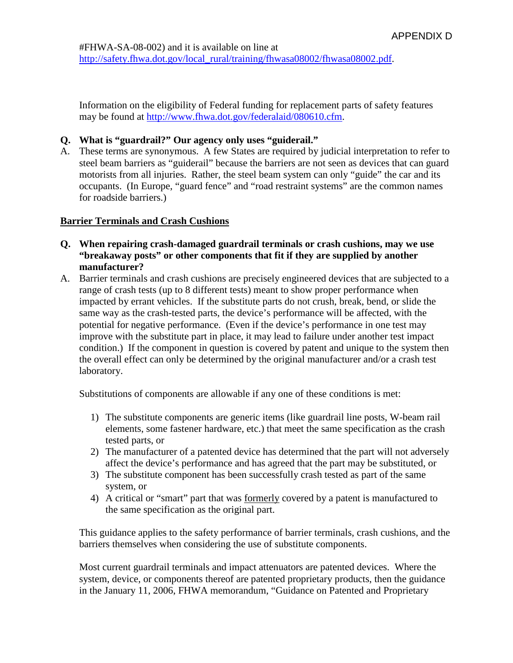Information on the eligibility of Federal funding for replacement parts of safety features may be found at [http://www.fhwa.dot.gov/federalaid/080610.cfm.](http://www.fhwa.dot.gov/federalaid/080610.cfm)

# **Q. What is "guardrail?" Our agency only uses "guiderail."**

A. These terms are synonymous. A few States are required by judicial interpretation to refer to steel beam barriers as "guiderail" because the barriers are not seen as devices that can guard motorists from all injuries. Rather, the steel beam system can only "guide" the car and its occupants. (In Europe, "guard fence" and "road restraint systems" are the common names for roadside barriers.)

#### **Barrier Terminals and Crash Cushions**

- **Q. When repairing crash-damaged guardrail terminals or crash cushions, may we use "breakaway posts" or other components that fit if they are supplied by another manufacturer?**
- A. Barrier terminals and crash cushions are precisely engineered devices that are subjected to a range of crash tests (up to 8 different tests) meant to show proper performance when impacted by errant vehicles. If the substitute parts do not crush, break, bend, or slide the same way as the crash-tested parts, the device's performance will be affected, with the potential for negative performance. (Even if the device's performance in one test may improve with the substitute part in place, it may lead to failure under another test impact condition.) If the component in question is covered by patent and unique to the system then the overall effect can only be determined by the original manufacturer and/or a crash test laboratory.

Substitutions of components are allowable if any one of these conditions is met:

- 1) The substitute components are generic items (like guardrail line posts, W-beam rail elements, some fastener hardware, etc.) that meet the same specification as the crash tested parts, or
- 2) The manufacturer of a patented device has determined that the part will not adversely affect the device's performance and has agreed that the part may be substituted, or
- 3) The substitute component has been successfully crash tested as part of the same system, or
- 4) A critical or "smart" part that was formerly covered by a patent is manufactured to the same specification as the original part.

This guidance applies to the safety performance of barrier terminals, crash cushions, and the barriers themselves when considering the use of substitute components.

Most current guardrail terminals and impact attenuators are patented devices. Where the system, device, or components thereof are patented proprietary products, then the guidance in the January 11, 2006, FHWA memorandum, "Guidance on Patented and Proprietary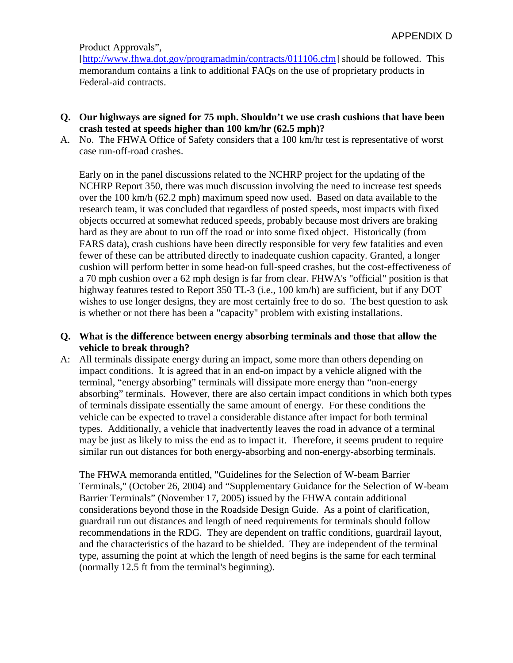Product Approvals",

[\[http://www.fhwa.dot.gov/programadmin/contracts/011106.cfm\]](http://www.fhwa.dot.gov/programadmin/contracts/011106.cfm) should be followed. This memorandum contains a link to additional FAQs on the use of proprietary products in Federal-aid contracts.

- **Q. Our highways are signed for 75 mph. Shouldn't we use crash cushions that have been crash tested at speeds higher than 100 km/hr (62.5 mph)?**
- A. No. The FHWA Office of Safety considers that a 100 km/hr test is representative of worst case run-off-road crashes.

Early on in the panel discussions related to the NCHRP project for the updating of the NCHRP Report 350, there was much discussion involving the need to increase test speeds over the 100 km/h (62.2 mph) maximum speed now used. Based on data available to the research team, it was concluded that regardless of posted speeds, most impacts with fixed objects occurred at somewhat reduced speeds, probably because most drivers are braking hard as they are about to run off the road or into some fixed object. Historically (from FARS data), crash cushions have been directly responsible for very few fatalities and even fewer of these can be attributed directly to inadequate cushion capacity. Granted, a longer cushion will perform better in some head-on full-speed crashes, but the cost-effectiveness of a 70 mph cushion over a 62 mph design is far from clear. FHWA's "official" position is that highway features tested to Report 350 TL-3 (i.e., 100 km/h) are sufficient, but if any DOT wishes to use longer designs, they are most certainly free to do so. The best question to ask is whether or not there has been a "capacity" problem with existing installations.

#### **Q. What is the difference between energy absorbing terminals and those that allow the vehicle to break through?**

A: All terminals dissipate energy during an impact, some more than others depending on impact conditions. It is agreed that in an end-on impact by a vehicle aligned with the terminal, "energy absorbing" terminals will dissipate more energy than "non-energy absorbing" terminals. However, there are also certain impact conditions in which both types of terminals dissipate essentially the same amount of energy. For these conditions the vehicle can be expected to travel a considerable distance after impact for both terminal types. Additionally, a vehicle that inadvertently leaves the road in advance of a terminal may be just as likely to miss the end as to impact it. Therefore, it seems prudent to require similar run out distances for both energy-absorbing and non-energy-absorbing terminals.

The FHWA memoranda entitled, "Guidelines for the Selection of W-beam Barrier Terminals," (October 26, 2004) and "Supplementary Guidance for the Selection of W-beam Barrier Terminals" (November 17, 2005) issued by the FHWA contain additional considerations beyond those in the Roadside Design Guide. As a point of clarification, guardrail run out distances and length of need requirements for terminals should follow recommendations in the RDG. They are dependent on traffic conditions, guardrail layout, and the characteristics of the hazard to be shielded. They are independent of the terminal type, assuming the point at which the length of need begins is the same for each terminal (normally 12.5 ft from the terminal's beginning).